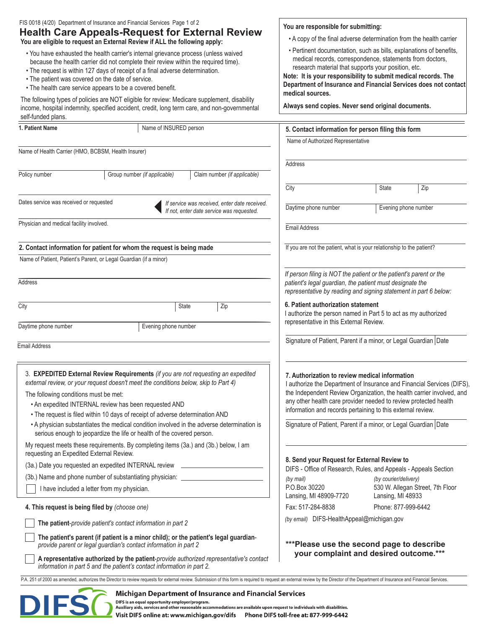| FIS 0018 (4/20) Department of Insurance and Financial Services Page 1 of 2<br><b>Health Care Appeals-Request for External Review</b><br>You are eligible to request an External Review if ALL the following apply:                                                                                                                                                             | You are responsible for submitting:<br>• A copy of the final adverse determination from the health carrier                                                                                                                                                                                                                                       |
|--------------------------------------------------------------------------------------------------------------------------------------------------------------------------------------------------------------------------------------------------------------------------------------------------------------------------------------------------------------------------------|--------------------------------------------------------------------------------------------------------------------------------------------------------------------------------------------------------------------------------------------------------------------------------------------------------------------------------------------------|
| . You have exhausted the health carrier's internal grievance process (unless waived<br>because the health carrier did not complete their review within the required time).<br>• The request is within 127 days of receipt of a final adverse determination.<br>• The patient was covered on the date of service.<br>• The health care service appears to be a covered benefit. | • Pertinent documentation, such as bills, explanations of benefits,<br>medical records, correspondence, statements from doctors,<br>research material that supports your position, etc.<br>Note: It is your responsibility to submit medical records. The<br>Department of Insurance and Financial Services does not contact<br>medical sources. |
| The following types of policies are NOT eligible for review: Medicare supplement, disability<br>income, hospital indemnity, specified accident, credit, long term care, and non-governmental<br>self-funded plans.                                                                                                                                                             | Always send copies. Never send original documents.                                                                                                                                                                                                                                                                                               |
| 1. Patient Name<br>Name of INSURED person                                                                                                                                                                                                                                                                                                                                      | 5. Contact information for person filing this form                                                                                                                                                                                                                                                                                               |
|                                                                                                                                                                                                                                                                                                                                                                                | Name of Authorized Representative                                                                                                                                                                                                                                                                                                                |
| Name of Health Carrier (HMO, BCBSM, Health Insurer)                                                                                                                                                                                                                                                                                                                            |                                                                                                                                                                                                                                                                                                                                                  |
| Policy number<br>Group number (if applicable)<br>Claim number (if applicable)                                                                                                                                                                                                                                                                                                  | Address                                                                                                                                                                                                                                                                                                                                          |
|                                                                                                                                                                                                                                                                                                                                                                                | City<br>State<br>Zip                                                                                                                                                                                                                                                                                                                             |
| Dates service was received or requested<br>If service was received, enter date received.<br>If not, enter date service was requested.                                                                                                                                                                                                                                          | Daytime phone number<br>Evening phone number                                                                                                                                                                                                                                                                                                     |
| Physician and medical facility involved.                                                                                                                                                                                                                                                                                                                                       | <b>Email Address</b>                                                                                                                                                                                                                                                                                                                             |
| 2. Contact information for patient for whom the request is being made                                                                                                                                                                                                                                                                                                          | If you are not the patient, what is your relationship to the patient?                                                                                                                                                                                                                                                                            |
| Name of Patient, Patient's Parent, or Legal Guardian (if a minor)                                                                                                                                                                                                                                                                                                              |                                                                                                                                                                                                                                                                                                                                                  |
|                                                                                                                                                                                                                                                                                                                                                                                |                                                                                                                                                                                                                                                                                                                                                  |
| Address                                                                                                                                                                                                                                                                                                                                                                        | If person filing is NOT the patient or the patient's parent or the<br>patient's legal guardian, the patient must designate the<br>representative by reading and signing statement in part 6 below:                                                                                                                                               |
| City<br>State<br>Zip                                                                                                                                                                                                                                                                                                                                                           | 6. Patient authorization statement<br>I authorize the person named in Part 5 to act as my authorized<br>representative in this External Review.                                                                                                                                                                                                  |
| Daytime phone number<br>Evening phone number                                                                                                                                                                                                                                                                                                                                   |                                                                                                                                                                                                                                                                                                                                                  |
| <b>Email Address</b>                                                                                                                                                                                                                                                                                                                                                           | Signature of Patient, Parent if a minor, or Legal Guardian Date                                                                                                                                                                                                                                                                                  |
| 3. EXPEDITED External Review Requirements (if you are not requesting an expedited<br>external review, or your request doesn't meet the conditions below, skip to Part 4)<br>The following conditions must be met:<br>. An expedited INTERNAL review has been requested AND<br>. The request is filed within 10 days of receipt of adverse determination AND                    | 7. Authorization to review medical information<br>I authorize the Department of Insurance and Financial Services (DIFS),<br>the Independent Review Organization, the health carrier involved, and<br>any other health care provider needed to review protected health<br>information and records pertaining to this external review.             |
| • A physician substantiates the medical condition involved in the adverse determination is<br>serious enough to jeopardize the life or health of the covered person.                                                                                                                                                                                                           | Signature of Patient, Parent if a minor, or Legal Guardian Date                                                                                                                                                                                                                                                                                  |
| My request meets these requirements. By completing items (3a.) and (3b.) below, I am<br>requesting an Expedited External Review.                                                                                                                                                                                                                                               |                                                                                                                                                                                                                                                                                                                                                  |
| (3a.) Date you requested an expedited INTERNAL review __________________________                                                                                                                                                                                                                                                                                               | 8. Send your Request for External Review to<br>DIFS - Office of Research, Rules, and Appeals - Appeals Section                                                                                                                                                                                                                                   |
| (3b.) Name and phone number of substantiating physician: _______________________                                                                                                                                                                                                                                                                                               | (by courier/delivery)<br>(by mail)                                                                                                                                                                                                                                                                                                               |
| I have included a letter from my physician.                                                                                                                                                                                                                                                                                                                                    | P.O.Box 30220<br>530 W. Allegan Street, 7th Floor                                                                                                                                                                                                                                                                                                |
| 4. This request is being filed by (choose one)                                                                                                                                                                                                                                                                                                                                 | Lansing, MI 48909-7720<br>Lansing, MI 48933<br>Phone: 877-999-6442<br>Fax: 517-284-8838                                                                                                                                                                                                                                                          |
| The patient-provide patient's contact information in part 2                                                                                                                                                                                                                                                                                                                    | (by email) DIFS-HealthAppeal@michigan.gov                                                                                                                                                                                                                                                                                                        |
|                                                                                                                                                                                                                                                                                                                                                                                |                                                                                                                                                                                                                                                                                                                                                  |
| The patient's parent (if patient is a minor child); or the patient's legal guardian-<br>provide parent or legal guardian's contact information in part 2                                                                                                                                                                                                                       | ***Please use the second page to describe<br>your complaint and desired outcome.***                                                                                                                                                                                                                                                              |
| A representative authorized by the patient-provide authorized representative's contact<br>information in part 5 and the patient's contact information in part 2.                                                                                                                                                                                                               |                                                                                                                                                                                                                                                                                                                                                  |
| P.A. 251 of 2000 as amended, authorizes the Director to review requests for external review. Submission of this form is required to request an external review by the Director of the Department of Insurance and Financial Se                                                                                                                                                 |                                                                                                                                                                                                                                                                                                                                                  |

## Michigan Department of Insurance and Financial Services

DIFS

DIFS is an equal opportunity employer/program.<br>DIFS is an equal opportunity employer/program.<br>Auxiliary aids, services and other reasonable accommodations are available upon request to individuals with disabilities.<br>Visit